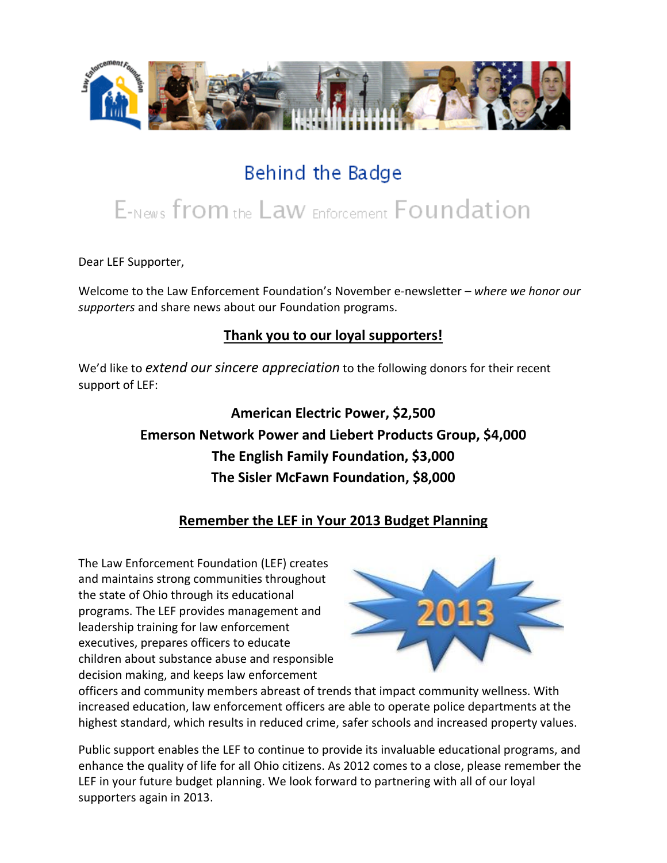

## Behind the Badge

# E-News from the Law Enforcement Foundation

Dear LEF Supporter,

Welcome to the Law Enforcement Foundation's November e-newsletter *– where we honor our supporters* and share news about our Foundation programs.

### **Thank you to our loyal supporters!**

We'd like to *extend our sincere appreciation* to the following donors for their recent support of LEF:

## **American Electric Power, \$2,500 Emerson Network Power and Liebert Products Group, \$4,000 The English Family Foundation, \$3,000 The Sisler McFawn Foundation, \$8,000**

## **Remember the LEF in Your 2013 Budget Planning**

The Law Enforcement Foundation (LEF) creates and maintains strong communities throughout the state of Ohio through its educational programs. The LEF provides management and leadership training for law enforcement executives, prepares officers to educate children about substance abuse and responsible decision making, and keeps law enforcement



officers and community members abreast of trends that impact community wellness. With increased education, law enforcement officers are able to operate police departments at the highest standard, which results in reduced crime, safer schools and increased property values.

Public support enables the LEF to continue to provide its invaluable educational programs, and enhance the quality of life for all Ohio citizens. As 2012 comes to a close, please remember the LEF in your future budget planning. We look forward to partnering with all of our loyal supporters again in 2013.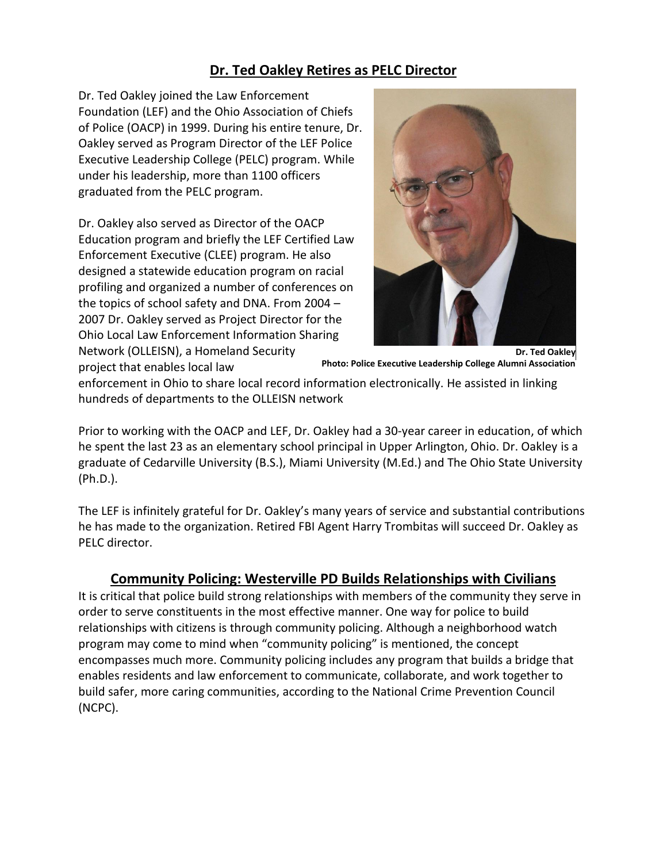## **Dr. Ted Oakley Retires as PELC Director**

Dr. Ted Oakley joined the Law Enforcement Foundation (LEF) and the Ohio Association of Chiefs of Police (OACP) in 1999. During his entire tenure, Dr. Oakley served as Program Director of the LEF Police Executive Leadership College (PELC) program. While under his leadership, more than 1100 officers graduated from the PELC program.

Dr. Oakley also served as Director of the OACP Education program and briefly the LEF Certified Law Enforcement Executive (CLEE) program. He also designed a statewide education program on racial profiling and organized a number of conferences on the topics of school safety and DNA. From 2004 – 2007 Dr. Oakley served as Project Director for the Ohio Local Law Enforcement Information Sharing Network (OLLEISN), a Homeland Security

project that enables local law



**Photo: Police Executive Leadership College Alumni Association**

enforcement in Ohio to share local record information electronically. He assisted in linking hundreds of departments to the OLLEISN network

Prior to working with the OACP and LEF, Dr. Oakley had a 30-year career in education, of which he spent the last 23 as an elementary school principal in Upper Arlington, Ohio. Dr. Oakley is a graduate of Cedarville University (B.S.), Miami University (M.Ed.) and The Ohio State University (Ph.D.).

The LEF is infinitely grateful for Dr. Oakley's many years of service and substantial contributions he has made to the organization. Retired FBI Agent Harry Trombitas will succeed Dr. Oakley as PELC director.

#### **Community Policing: Westerville PD Builds Relationships with Civilians**

It is critical that police build strong relationships with members of the community they serve in order to serve constituents in the most effective manner. One way for police to build relationships with citizens is through community policing. Although a neighborhood watch program may come to mind when "community policing" is mentioned, the concept encompasses much more. Community policing includes any program that builds a bridge that enables residents and law enforcement to communicate, collaborate, and work together to build safer, more caring communities, according to the National Crime Prevention Council (NCPC).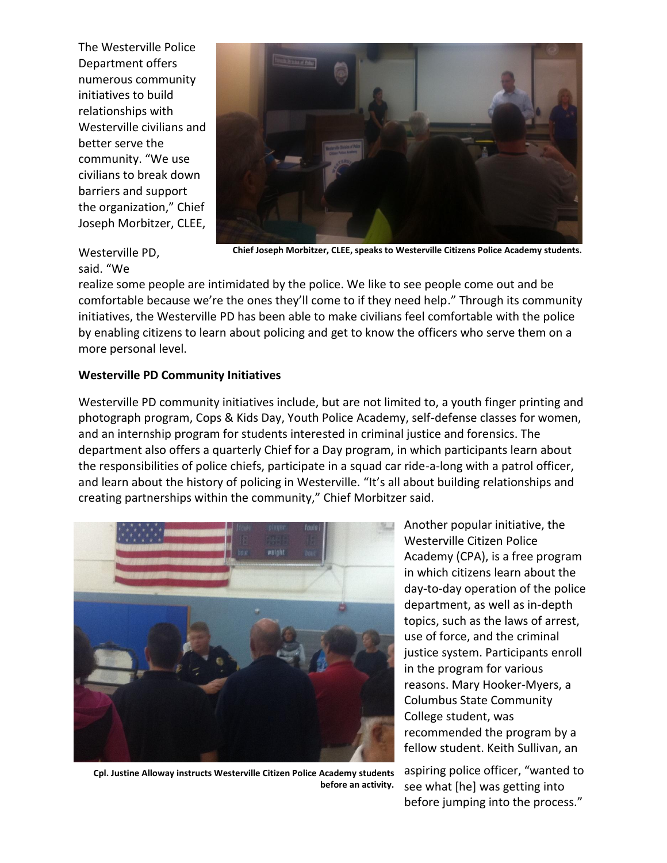The Westerville Police Department offers numerous community initiatives to build relationships with Westerville civilians and better serve the community. "We use civilians to break down barriers and support the organization," Chief Joseph Morbitzer, CLEE,



Westerville PD,

#### said. "We

**Chief Joseph Morbitzer, CLEE, speaks to Westerville Citizens Police Academy students.**

realize some people are intimidated by the police. We like to see people come out and be comfortable because we're the ones they'll come to if they need help." Through its community initiatives, the Westerville PD has been able to make civilians feel comfortable with the police by enabling citizens to learn about policing and get to know the officers who serve them on a more personal level.

#### **Westerville PD Community Initiatives**

Westerville PD community initiatives include, but are not limited to, a youth finger printing and photograph program, Cops & Kids Day, Youth Police Academy, self-defense classes for women, and an internship program for students interested in criminal justice and forensics. The department also offers a quarterly Chief for a Day program, in which participants learn about the responsibilities of police chiefs, participate in a squad car ride-a-long with a patrol officer, and learn about the history of policing in Westerville. "It's all about building relationships and creating partnerships within the community," Chief Morbitzer said.



Another popular initiative, the Westerville Citizen Police Academy (CPA), is a free program in which citizens learn about the day-to-day operation of the police department, as well as in-depth topics, such as the laws of arrest, use of force, and the criminal justice system. Participants enroll in the program for various reasons. Mary Hooker-Myers, a Columbus State Community College student, was recommended the program by a fellow student. Keith Sullivan, an

**Cpl. Justine Alloway instructs Westerville Citizen Police Academy students before an activity.**

aspiring police officer, "wanted to see what [he] was getting into before jumping into the process."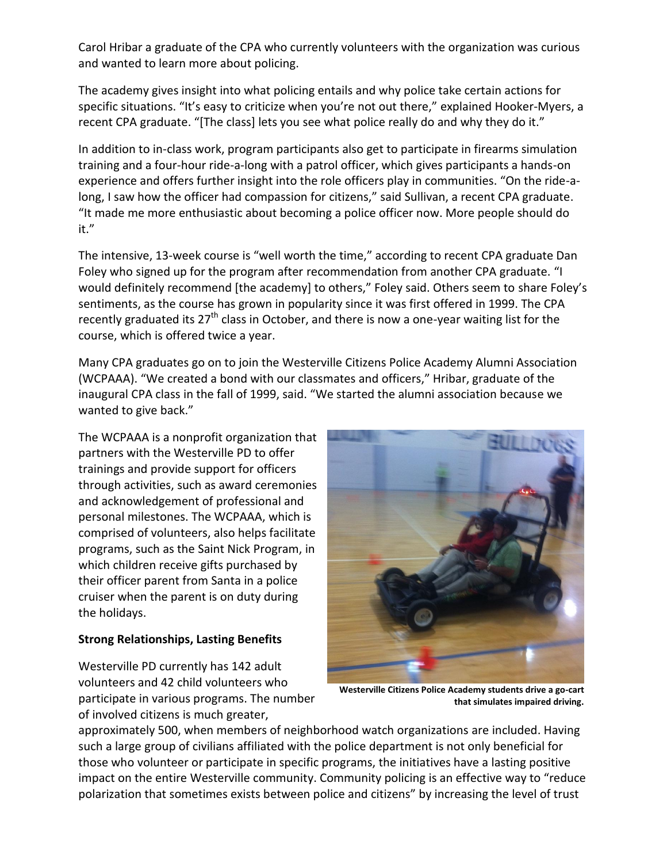Carol Hribar a graduate of the CPA who currently volunteers with the organization was curious and wanted to learn more about policing.

The academy gives insight into what policing entails and why police take certain actions for specific situations. "It's easy to criticize when you're not out there," explained Hooker-Myers, a recent CPA graduate. "[The class] lets you see what police really do and why they do it."

In addition to in-class work, program participants also get to participate in firearms simulation training and a four-hour ride-a-long with a patrol officer, which gives participants a hands-on experience and offers further insight into the role officers play in communities. "On the ride-along, I saw how the officer had compassion for citizens," said Sullivan, a recent CPA graduate. "It made me more enthusiastic about becoming a police officer now. More people should do it."

The intensive, 13-week course is "well worth the time," according to recent CPA graduate Dan Foley who signed up for the program after recommendation from another CPA graduate. "I would definitely recommend [the academy] to others," Foley said. Others seem to share Foley's sentiments, as the course has grown in popularity since it was first offered in 1999. The CPA recently graduated its  $27<sup>th</sup>$  class in October, and there is now a one-year waiting list for the course, which is offered twice a year.

Many CPA graduates go on to join the Westerville Citizens Police Academy Alumni Association (WCPAAA). "We created a bond with our classmates and officers," Hribar, graduate of the inaugural CPA class in the fall of 1999, said. "We started the alumni association because we wanted to give back."

The WCPAAA is a nonprofit organization that partners with the Westerville PD to offer trainings and provide support for officers through activities, such as award ceremonies and acknowledgement of professional and personal milestones. The WCPAAA, which is comprised of volunteers, also helps facilitate programs, such as the Saint Nick Program, in which children receive gifts purchased by their officer parent from Santa in a police cruiser when the parent is on duty during the holidays.

#### **Strong Relationships, Lasting Benefits**

Westerville PD currently has 142 adult volunteers and 42 child volunteers who participate in various programs. The number of involved citizens is much greater,



**Westerville Citizens Police Academy students drive a go-cart that simulates impaired driving.**

approximately 500, when members of neighborhood watch organizations are included. Having such a large group of civilians affiliated with the police department is not only beneficial for those who volunteer or participate in specific programs, the initiatives have a lasting positive impact on the entire Westerville community. Community policing is an effective way to "reduce polarization that sometimes exists between police and citizens" by increasing the level of trust